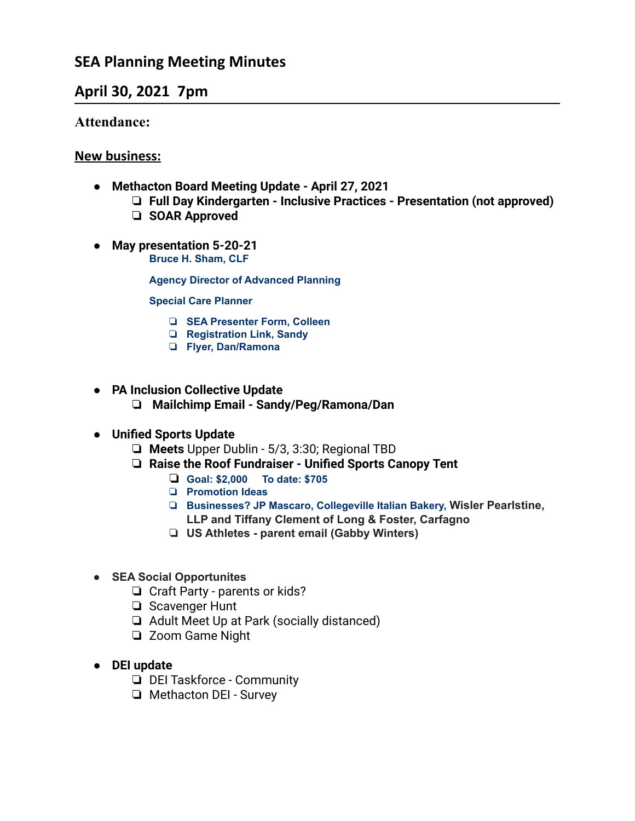# **SEA Planning Meeting Minutes**

## **April 30, 2021 7pm**

#### **Attendance:**

#### **New business:**

- **● Methacton Board Meeting Update April 27, 2021**
	- ❏ **Full Day Kindergarten Inclusive Practices Presentation (not approved)**
	- ❏ **SOAR Approved**
- **● May presentation 5-20-21 Bruce H. Sham, CLF**

**Agency Director of Advanced Planning**

**Special Care Planner**

- ❏ **SEA Presenter Form, Colleen**
- ❏ **Registration Link, Sandy**
- ❏ **Flyer, Dan/Ramona**
- **● PA Inclusion Collective Update**
	- ❏ **Mailchimp Email Sandy/Peg/Ramona/Dan**
- **● Unified Sports Update**
	- ❏ **Meets** Upper Dublin 5/3, 3:30; Regional TBD
	- ❏ **Raise the Roof Fundraiser Unified Sports Canopy Tent**
		- ❏ **Goal: \$2,000 To date: \$705**
		- ❏ **Promotion Ideas**
		- ❏ **Businesses? JP Mascaro, Collegeville Italian Bakery, Wisler Pearlstine, LLP and Tiffany Clement of Long & Foster, Carfagno**
		- ❏ **US Athletes - parent email (Gabby Winters)**
- **● SEA Social Opportunites**
	- ❏ Craft Party parents or kids?
	- ❏ Scavenger Hunt
	- ❏ Adult Meet Up at Park (socially distanced)
	- ❏ Zoom Game Night
- **● DEI update**
	- ❏ DEI Taskforce Community
	- ❏ Methacton DEI Survey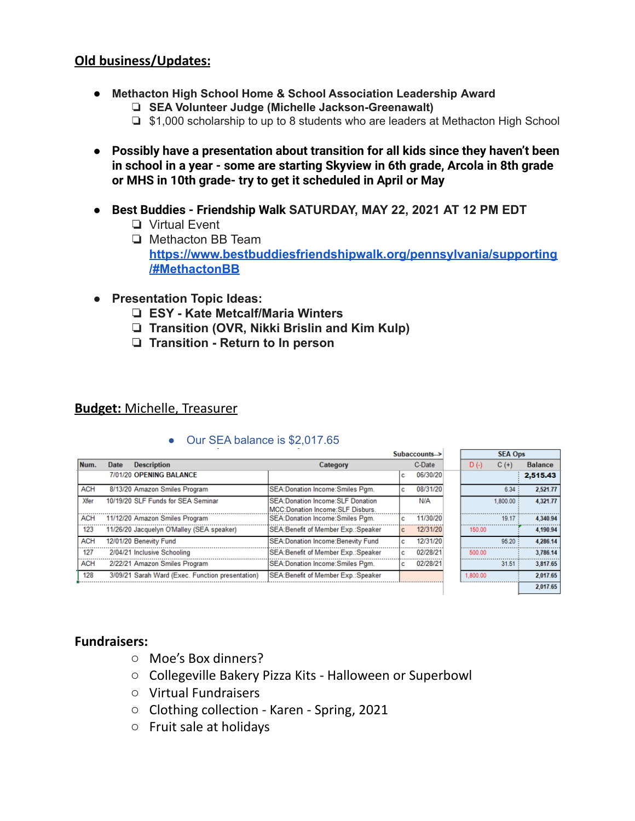#### **Old business/Updates:**

- **Methacton High School Home & School Association Leadership Award**
	- ❏ **SEA Volunteer Judge (Michelle Jackson-Greenawalt)**
	- ❏ \$1,000 scholarship to up to 8 students who are leaders at Methacton High School
- **● Possibly have a presentation about transition for all kids since they haven't been in school in a year - some are starting Skyview in 6th grade, Arcola in 8th grade or MHS in 10th grade- try to get it scheduled in April or May**
- **● Best Buddies Friendship Walk SATURDAY, MAY 22, 2021 AT 12 PM EDT**
	- ❏ Virtual Event
	- ❏ Methacton BB Team **[https://www.bestbuddiesfriendshipwalk.org/pennsylvania/supporting](https://www.bestbuddiesfriendshipwalk.org/pennsylvania/supporting/#MethactonBB) [/#MethactonBB](https://www.bestbuddiesfriendshipwalk.org/pennsylvania/supporting/#MethactonBB)**
- **● Presentation Topic Ideas:**
	- ❏ **ESY Kate Metcalf/Maria Winters**
	- ❏ **Transition (OVR, Nikki Brislin and Kim Kulp)**
	- ❏ **Transition Return to In person**

#### **Budget:** Michelle, Treasurer

|            |      |                                                  |                                                                             | Subaccounts-> |          |  | <b>SEA Ops</b> |          |                |  |
|------------|------|--------------------------------------------------|-----------------------------------------------------------------------------|---------------|----------|--|----------------|----------|----------------|--|
| Num.       | Date | <b>Description</b>                               | Category                                                                    |               | C-Date   |  | $D( - )$       | $C(+)$   | <b>Balance</b> |  |
|            |      | 7/01/20 OPENING BALANCE                          |                                                                             | с             | 06/30/20 |  |                |          | 2,515.43       |  |
| <b>ACH</b> |      | 8/13/20 Amazon Smiles Program                    | SEA: Donation Income: Smiles Pgm.                                           | c             | 08/31/20 |  |                | 6.34     | 2.521.77       |  |
| Xfer       |      | 10/19/20 SLF Funds for SEA Seminar               | <b>SEA:Donation Income:SLF Donation</b><br>MCC:Donation Income:SLF Disburs. |               | N/A      |  |                | 1.800.00 | 4.321.77       |  |
| <b>ACH</b> |      | 11/12/20 Amazon Smiles Program                   | SEA: Donation Income: Smiles Pgm.                                           | c             | 11/30/20 |  |                | 19.17    | 4.340.94       |  |
| 123        |      | 11/26/20 Jacquelyn O'Malley (SEA speaker)        | SEA: Benefit of Member Exp.: Speaker                                        | c             | 12/31/20 |  | 150.00         |          | 4,190.94       |  |
| <b>ACH</b> |      | 12/01/20 Benevity Fund                           | <b>SEA:Donation Income:Benevity Fund</b>                                    | c             | 12/31/20 |  |                | 95.20    | 4.286.14       |  |
| 127        |      | 2/04/21 Inclusive Schooling                      | SEA: Benefit of Member Exp.: Speaker                                        | c             | 02/28/21 |  | 500.00         |          | 3.786.14       |  |
| <b>ACH</b> |      | 2/22/21 Amazon Smiles Program                    | SEA: Donation Income: Smiles Pam.                                           | с             | 02/28/21 |  |                | 31.51    | 3.817.65       |  |
| 128        |      | 3/09/21 Sarah Ward (Exec. Function presentation) | SEA: Benefit of Member Exp.: Speaker                                        |               |          |  | 1.800.00       |          | 2.017.65       |  |
|            |      |                                                  |                                                                             |               |          |  |                |          | 2,017.65       |  |

● Our SEA balance is \$2,017.65

## **Fundraisers:**

- Moe's Box dinners?
- Collegeville Bakery Pizza Kits Halloween or Superbowl
- Virtual Fundraisers
- Clothing collection Karen Spring, 2021
- Fruit sale at holidays